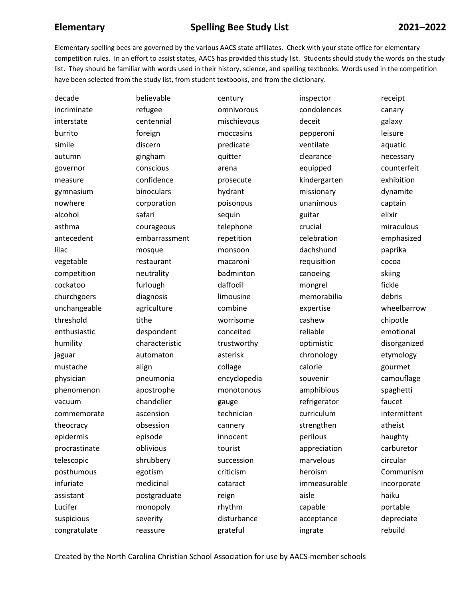## **Elementary Spelling Bee Study List 2021–2022**

Elementary spelling bees are governed by the various AACS state affiliates. Check with your state office for elementary competition rules. In an effort to assist states, AACS has provided this study list. Students should study the words on the study list. They should be familiar with words used in their history, science, and spelling textbooks. Words used in the competition have been selected from the study list, from student textbooks, and from the dictionary.

| decade        | believable     | century      | inspector    | receipt      |
|---------------|----------------|--------------|--------------|--------------|
| incriminate   | refugee        | omnivorous   | condolences  | canary       |
| interstate    | centennial     | mischievous  | deceit       | galaxy       |
| burrito       | foreign        | moccasins    | pepperoni    | leisure      |
| simile        | discern        | predicate    | ventilate    | aquatic      |
| autumn        | gingham        | quitter      | clearance    | necessary    |
| governor      | conscious      | arena        | equipped     | counterfeit  |
| measure       | confidence     | prosecute    | kindergarten | exhibition   |
| gymnasium     | binoculars     | hydrant      | missionary   | dynamite     |
| nowhere       | corporation    | poisonous    | unanimous    | captain      |
| alcohol       | safari         | sequin       | guitar       | elixir       |
| asthma        | courageous     | telephone    | crucial      | miraculous   |
| antecedent    | embarrassment  | repetition   | celebration  | emphasized   |
| lilac         | mosque         | monsoon      | dachshund    | paprika      |
| vegetable     | restaurant     | macaroni     | requisition  | cocoa        |
| competition   | neutrality     | badminton    | canoeing     | skiing       |
| cockatoo      | furlough       | daffodil     | mongrel      | fickle       |
| churchgoers   | diagnosis      | limousine    | memorabilia  | debris       |
| unchangeable  | agriculture    | combine      | expertise    | wheelbarrow  |
| threshold     | tithe          | worrisome    | cashew       | chipotle     |
| enthusiastic  | despondent     | conceited    | reliable     | emotional    |
| humility      | characteristic | trustworthy  | optimistic   | disorganized |
| jaguar        | automaton      | asterisk     | chronology   | etymology    |
| mustache      | align          | collage      | calorie      | gourmet      |
| physician     | pneumonia      | encyclopedia | souvenir     | camouflage   |
| phenomenon    | apostrophe     | monotonous   | amphibious   | spaghetti    |
| vacuum        | chandelier     | gauge        | refrigerator | faucet       |
| commemorate   | ascension      | technician   | curriculum   | intermittent |
| theocracy     | obsession      | cannery      | strengthen   | atheist      |
| epidermis     | episode        | innocent     | perilous     | haughty      |
| procrastinate | oblivious      | tourist      | appreciation | carburetor   |
| telescopic    | shrubbery      | succession   | marvelous    | circular     |
| posthumous    | egotism        | criticism    | heroism      | Communism    |
| infuriate     | medicinal      | cataract     | immeasurable | incorporate  |
| assistant     | postgraduate   | reign        | aisle        | haiku        |
| Lucifer       | monopoly       | rhythm       | capable      | portable     |
| suspicious    | severity       | disturbance  | acceptance   | depreciate   |
| congratulate  | reassure       | grateful     | ingrate      | rebuild      |

Created by the North Carolina Christian School Association for use by AACS-member schools